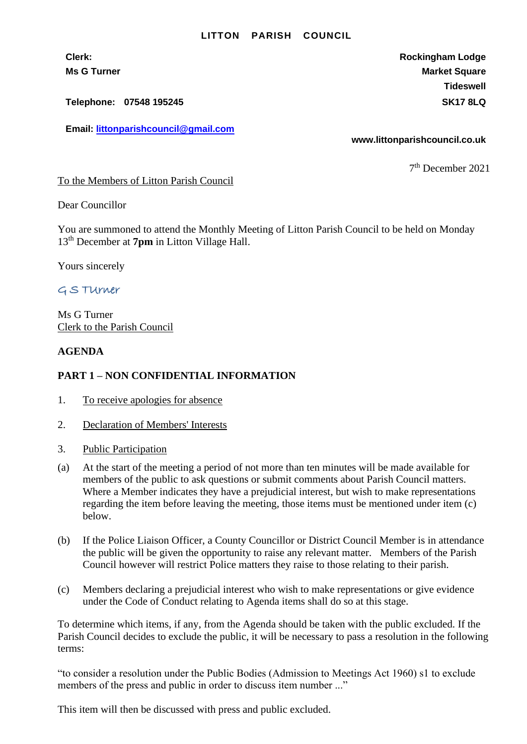## **LITTON PARISH COUNCIL**

**Telephone: 07548 195245 SK17 8LQ**

**Email: [littonparishcouncil@gmail.com](mailto:littonparishcouncil@gmail.com)**

**Clerk: Rockingham Lodge Ms G Turner Market Square** Market Square Market Square Market Square **Tideswell**

**www.littonparishcouncil.co.uk**

7 th December 2021

To the Members of Litton Parish Council

Dear Councillor

You are summoned to attend the Monthly Meeting of Litton Parish Council to be held on Monday 13 th December at **7pm** in Litton Village Hall.

Yours sincerely

## G S TUrner

Ms G Turner Clerk to the Parish Council

## **AGENDA**

## **PART 1 – NON CONFIDENTIAL INFORMATION**

- 1. To receive apologies for absence
- 2. Declaration of Members' Interests
- 3. Public Participation
- (a) At the start of the meeting a period of not more than ten minutes will be made available for members of the public to ask questions or submit comments about Parish Council matters. Where a Member indicates they have a prejudicial interest, but wish to make representations regarding the item before leaving the meeting, those items must be mentioned under item (c) below.
- (b) If the Police Liaison Officer, a County Councillor or District Council Member is in attendance the public will be given the opportunity to raise any relevant matter. Members of the Parish Council however will restrict Police matters they raise to those relating to their parish.
- (c) Members declaring a prejudicial interest who wish to make representations or give evidence under the Code of Conduct relating to Agenda items shall do so at this stage.

To determine which items, if any, from the Agenda should be taken with the public excluded. If the Parish Council decides to exclude the public, it will be necessary to pass a resolution in the following terms:

"to consider a resolution under the Public Bodies (Admission to Meetings Act 1960) s1 to exclude members of the press and public in order to discuss item number ..."

This item will then be discussed with press and public excluded.